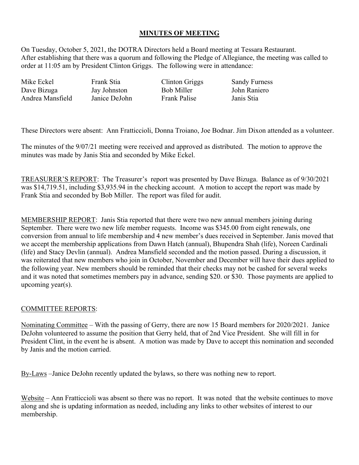## **MINUTES OF MEETING**

On Tuesday, October 5, 2021, the DOTRA Directors held a Board meeting at Tessara Restaurant. After establishing that there was a quorum and following the Pledge of Allegiance, the meeting was called to order at 11:05 am by President Clinton Griggs. The following were in attendance:

Mike Eckel Frank Stia Clinton Griggs Sandy Furness Dave Bizuga Andrea Mansfield

Jay Johnston Janice DeJohn Bob Miller Frank Palise John Raniero Janis Stia

These Directors were absent: Ann Fratticcioli, Donna Troiano, Joe Bodnar. Jim Dixon attended as a volunteer.

The minutes of the 9/07/21 meeting were received and approved as distributed. The motion to approve the minutes was made by Janis Stia and seconded by Mike Eckel.

TREASURER'S REPORT: The Treasurer's report was presented by Dave Bizuga. Balance as of 9/30/2021 was \$14,719.51, including \$3,935.94 in the checking account. A motion to accept the report was made by Frank Stia and seconded by Bob Miller. The report was filed for audit.

MEMBERSHIP REPORT: Janis Stia reported that there were two new annual members joining during September. There were two new life member requests. Income was \$345.00 from eight renewals, one conversion from annual to life membership and 4 new member's dues received in September. Janis moved that we accept the membership applications from Dawn Hatch (annual), Bhupendra Shah (life), Noreen Cardinali (life) and Stacy Devlin (annual). Andrea Mansfield seconded and the motion passed. During a discussion, it was reiterated that new members who join in October, November and December will have their dues applied to the following year. New members should be reminded that their checks may not be cashed for several weeks and it was noted that sometimes members pay in advance, sending \$20. or \$30. Those payments are applied to upcoming year(s).

## COMMITTEE REPORTS:

Nominating Committee – With the passing of Gerry, there are now 15 Board members for 2020/2021. Janice DeJohn volunteered to assume the position that Gerry held, that of 2nd Vice President. She will fill in for President Clint, in the event he is absent. A motion was made by Dave to accept this nomination and seconded by Janis and the motion carried.

By-Laws –Janice DeJohn recently updated the bylaws, so there was nothing new to report.

Website – Ann Fratticcioli was absent so there was no report. It was noted that the website continues to move along and she is updating information as needed, including any links to other websites of interest to our membership.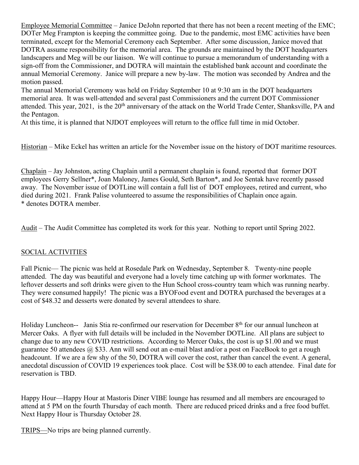Employee Memorial Committee – Janice DeJohn reported that there has not been a recent meeting of the EMC; DOTer Meg Frampton is keeping the committee going. Due to the pandemic, most EMC activities have been terminated, except for the Memorial Ceremony each September. After some discussion, Janice moved that DOTRA assume responsibility for the memorial area. The grounds are maintained by the DOT headquarters landscapers and Meg will be our liaison. We will continue to pursue a memorandum of understanding with a sign-off from the Commissioner, and DOTRA will maintain the established bank account and coordinate the annual Memorial Ceremony. Janice will prepare a new by-law. The motion was seconded by Andrea and the motion passed.

The annual Memorial Ceremony was held on Friday September 10 at 9:30 am in the DOT headquarters memorial area. It was well-attended and several past Commissioners and the current DOT Commissioner attended. This year, 2021, is the 20<sup>th</sup> anniversary of the attack on the World Trade Center, Shanksville, PA and the Pentagon.

At this time, it is planned that NJDOT employees will return to the office full time in mid October.

Historian – Mike Eckel has written an article for the November issue on the history of DOT maritime resources.

Chaplain – Jay Johnston, acting Chaplain until a permanent chaplain is found, reported that former DOT employees Gerry Sellner\*, Joan Maloney, James Gould, Seth Barton\*, and Joe Sentak have recently passed away. The November issue of DOTLine will contain a full list of DOT employees, retired and current, who died during 2021. Frank Palise volunteered to assume the responsibilities of Chaplain once again. \* denotes DOTRA member.

Audit – The Audit Committee has completed its work for this year. Nothing to report until Spring 2022.

## SOCIAL ACTIVITIES

Fall Picnic— The picnic was held at Rosedale Park on Wednesday, September 8. Twenty-nine people attended. The day was beautiful and everyone had a lovely time catching up with former workmates. The leftover desserts and soft drinks were given to the Hun School cross-country team which was running nearby. They were consumed happily! The picnic was a BYOFood event and DOTRA purchased the beverages at a cost of \$48.32 and desserts were donated by several attendees to share.

Holiday Luncheon-- Janis Stia re-confirmed our reservation for December 8<sup>th</sup> for our annual luncheon at Mercer Oaks. A flyer with full details will be included in the November DOTLine. All plans are subject to change due to any new COVID restrictions. According to Mercer Oaks, the cost is up \$1.00 and we must guarantee 50 attendees  $(a)$  \$33. Ann will send out an e-mail blast and/or a post on FaceBook to get a rough headcount. If we are a few shy of the 50, DOTRA will cover the cost, rather than cancel the event. A general, anecdotal discussion of COVID 19 experiences took place. Cost will be \$38.00 to each attendee. Final date for reservation is TBD.

Happy Hour—Happy Hour at Mastoris Diner VIBE lounge has resumed and all members are encouraged to attend at 5 PM on the fourth Thursday of each month. There are reduced priced drinks and a free food buffet. Next Happy Hour is Thursday October 28.

TRIPS—No trips are being planned currently.